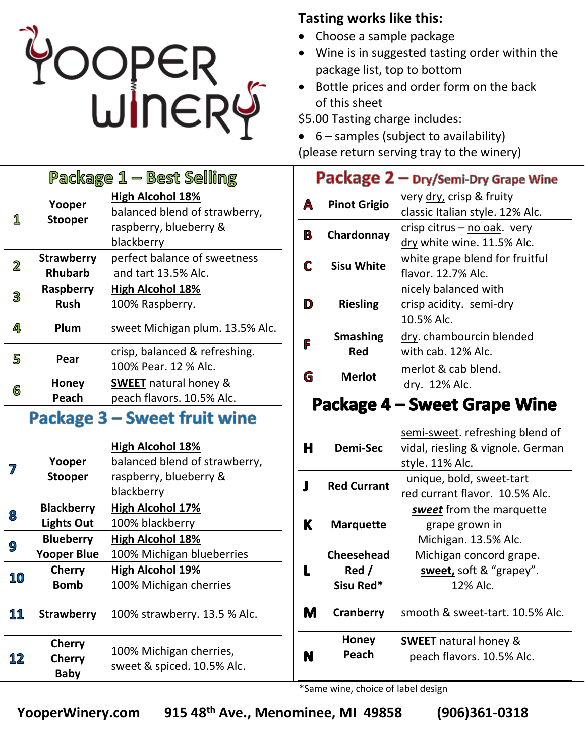

## **Tasting works like this:**

- Choose a sample package
- Wine is in suggested tasting order within the package list, top to bottom
- Bottle prices and order form on the back of this sheet

\$5.00 Tasting charge includes:

• 6 – samples (subject to availability)

(please return serving tray to the winery)

|   |                                     | Package 1 – Best Selling                                                                         |        |
|---|-------------------------------------|--------------------------------------------------------------------------------------------------|--------|
| 1 | Yooper<br><b>Stooper</b>            | <b>High Alcohol 18%</b><br>balanced blend of strawberry,<br>raspberry, blueberry &<br>blackberry | A<br>B |
| 2 | <b>Strawberry</b><br><b>Rhubarb</b> | perfect balance of sweetness<br>and tart 13.5% Alc.                                              | C      |
| 3 | Raspberry<br><b>Rush</b>            | <b>High Alcohol 18%</b><br>100% Raspberry.                                                       | D      |
| 4 | Plum                                | sweet Michigan plum. 13.5% Alc.                                                                  |        |
| 5 | Pear                                | crisp, balanced & refreshing.<br>100% Pear. 12 % Alc.                                            | F      |
| 6 | Honey<br>Peach                      | <b>SWEET</b> natural honey &<br>peach flavors. 10.5% Alc.                                        | G      |
|   | م ده ام د                           | Carlo al facile celle                                                                            |        |

## Package 3 – Sweet fruit wine

|    |                                               | <b>High Alcohol 18%</b>                               |  |  |  |
|----|-----------------------------------------------|-------------------------------------------------------|--|--|--|
|    | Yooper                                        | balanced blend of strawberry,                         |  |  |  |
|    | <b>Stooper</b>                                | raspberry, blueberry &                                |  |  |  |
|    |                                               | blackberry                                            |  |  |  |
| 8  | <b>Blackberry</b>                             | <b>High Alcohol 17%</b>                               |  |  |  |
|    | <b>Lights Out</b>                             | 100% blackberry                                       |  |  |  |
|    | <b>Blueberry</b>                              | <b>High Alcohol 18%</b>                               |  |  |  |
| 9  | <b>Yooper Blue</b>                            | 100% Michigan blueberries                             |  |  |  |
|    | <b>Cherry</b>                                 | <b>High Alcohol 19%</b>                               |  |  |  |
| 10 | <b>Bomb</b>                                   | 100% Michigan cherries                                |  |  |  |
| 11 | <b>Strawberry</b>                             | 100% strawberry. 13.5 % Alc.                          |  |  |  |
| 12 | <b>Cherry</b><br><b>Cherry</b><br><b>Baby</b> | 100% Michigan cherries,<br>sweet & spiced. 10.5% Alc. |  |  |  |

## Package 2 - Dry/Semi-Dry Grape Wine

| A | <b>Pinot Grigio</b>    | very dry, crisp & fruity<br>classic Italian style. 12% Alc.   |  |
|---|------------------------|---------------------------------------------------------------|--|
| В | Chardonnay             | crisp citrus - no oak. very<br>dry white wine. 11.5% Alc.     |  |
|   | <b>Sisu White</b>      | white grape blend for fruitful<br>flavor. 12.7% Alc.          |  |
| D | <b>Riesling</b>        | nicely balanced with<br>crisp acidity. semi-dry<br>10.5% Alc. |  |
| F | <b>Smashing</b><br>Red | dry. chambourcin blended<br>with cab. 12% Alc.                |  |
|   | <b>Merlot</b>          | merlot & cab blend.<br>dry. 12% Alc.                          |  |

## **Package 4 - Sweet Grape Wine**

| н | <b>Demi-Sec</b>    | semi-sweet. refreshing blend of<br>vidal, riesling & vignole. German<br>style. 11% Alc. |  |  |  |
|---|--------------------|-----------------------------------------------------------------------------------------|--|--|--|
|   | <b>Red Currant</b> | unique, bold, sweet-tart                                                                |  |  |  |
|   |                    | red currant flavor. 10.5% Alc.                                                          |  |  |  |
|   | <b>Marquette</b>   | sweet from the marquette                                                                |  |  |  |
| K |                    | grape grown in                                                                          |  |  |  |
|   |                    | Michigan. 13.5% Alc.                                                                    |  |  |  |
|   | <b>Cheesehead</b>  | Michigan concord grape.                                                                 |  |  |  |
|   | Red /              | sweet, soft & "grapey".                                                                 |  |  |  |
|   | Sisu Red*          | 12% Alc.                                                                                |  |  |  |
| M | Cranberry          | smooth & sweet-tart. 10.5% Alc.                                                         |  |  |  |
|   | Honey              | <b>SWEET</b> natural honey &                                                            |  |  |  |
|   | Peach              | peach flavors. 10.5% Alc.                                                               |  |  |  |
|   |                    |                                                                                         |  |  |  |

\*Same wine, choice of label design

**YooperWinery.com 915 48th Ave., Menominee, MI 49858 (906)361-0318**